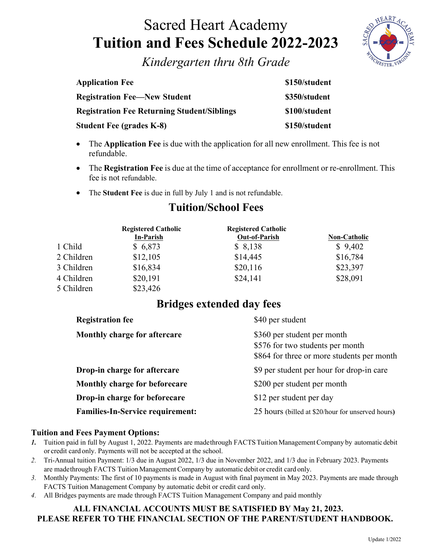# Sacred Heart Academy **Tuition and Fees Schedule 2022-2023**



*Kindergarten thru 8th Grade*

| <b>Application Fee</b>                             | \$150/student |
|----------------------------------------------------|---------------|
| <b>Registration Fee—New Student</b>                | \$350/student |
| <b>Registration Fee Returning Student/Siblings</b> | \$100/student |
| <b>Student Fee (grades K-8)</b>                    | \$150/student |

- The **Application Fee** is due with the application for all new enrollment. This fee is not refundable.
- The **Registration Fee** is due at the time of acceptance for enrollment or re-enrollment. This fee is not refundable.
- The **Student Fee** is due in full by July 1 and is not refundable.

|            | <b>Registered Catholic</b><br><b>In-Parish</b> | <b>Registered Catholic</b><br><b>Out-of-Parish</b> | Non-Catholic |
|------------|------------------------------------------------|----------------------------------------------------|--------------|
| 1 Child    | \$6,873                                        | \$8,138                                            | \$9,402      |
| 2 Children | \$12,105                                       | \$14,445                                           | \$16,784     |
| 3 Children | \$16,834                                       | \$20,116                                           | \$23,397     |
| 4 Children | \$20,191                                       | \$24,141                                           | \$28,091     |
| 5 Children | \$23,426                                       |                                                    |              |

## **Tuition/School Fees**

### **Bridges extended day fees**

| <b>Registration fee</b>                 | \$40 per student                                                                                              |
|-----------------------------------------|---------------------------------------------------------------------------------------------------------------|
| Monthly charge for aftercare            | \$360 per student per month<br>\$576 for two students per month<br>\$864 for three or more students per month |
| Drop-in charge for aftercare            | \$9 per student per hour for drop-in care                                                                     |
| Monthly charge for beforecare           | \$200 per student per month                                                                                   |
| Drop-in charge for beforecare           | \$12 per student per day                                                                                      |
| <b>Families-In-Service requirement:</b> | 25 hours (billed at \$20/hour for unserved hours)                                                             |

### **Tuition and Fees Payment Options:**

- 1. Tuition paid in full by August 1, 2022. Payments are madethrough FACTS Tuition Management Company by automatic debit or credit card only. Payments will not be accepted at the school.
- *2.* Tri-Annual tuition Payment: 1/3 due in August 2022, 1/3 due in November 2022, and 1/3 due in February 2023. Payments are madethrough FACTS Tuition Management Company by automatic debit or credit card only.
- *3.* Monthly Payments: The first of 10 payments is made in August with final payment in May 2023. Payments are made through FACTS Tuition Management Company by automatic debit or credit card only.
- *4.* All Bridges payments are made through FACTS Tuition Management Company and paid monthly

### **ALL FINANCIAL ACCOUNTS MUST BE SATISFIED BY May 21, 2023. PLEASE REFER TO THE FINANCIAL SECTION OF THE PARENT/STUDENT HANDBOOK.**